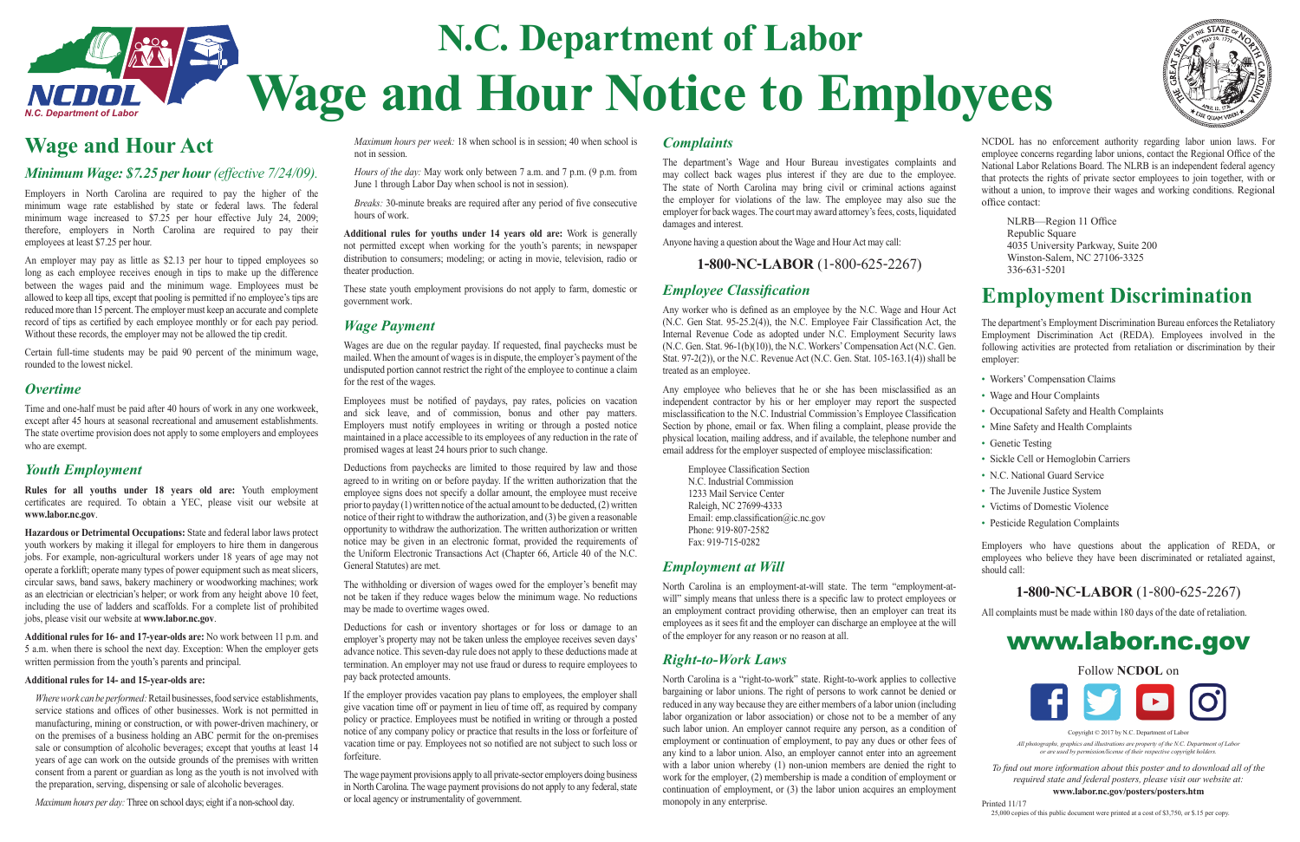# **N.C. Department of Labor Wage and Hour Notice to Employees**

## **Wage and Hour Act**

### *Minimum Wage: \$7.25 per hour (effective 7/24/09).*

Employers in North Carolina are required to pay the higher of the minimum wage rate established by state or federal laws. The federal minimum wage increased to \$7.25 per hour effective July 24, 2009; therefore, employers in North Carolina are required to pay their employees at least \$7.25 per hour.

An employer may pay as little as \$2.13 per hour to tipped employees so long as each employee receives enough in tips to make up the difference between the wages paid and the minimum wage. Employees must be allowed to keep all tips, except that pooling is permitted if no employee's tips are reduced more than 15 percent. The employer must keep an accurate and complete record of tips as certified by each employee monthly or for each pay period. Without these records, the employer may not be allowed the tip credit.

Certain full-time students may be paid 90 percent of the minimum wage, rounded to the lowest nickel.

### *Overtime*

Time and one-half must be paid after 40 hours of work in any one workweek, except after 45 hours at seasonal recreational and amusement establishments. The state overtime provision does not apply to some employers and employees who are exempt.

## *Youth Employment*

**Rules for all youths under 18 years old are:** Youth employment certificates are required. To obtain a YEC, please visit our website at **www.labor.nc.gov**.

*Breaks:* 30-minute breaks are required after any period of five consecutive hours of work.

**Hazardous or Detrimental Occupations:** State and federal labor laws protect youth workers by making it illegal for employers to hire them in dangerous jobs. For example, non-agricultural workers under 18 years of age may not operate a forklift; operate many types of power equipment such as meat slicers, circular saws, band saws, bakery machinery or woodworking machines; work as an electrician or electrician's helper; or work from any height above 10 feet, including the use of ladders and scaffolds. For a complete list of prohibited jobs, please visit our website at **www.labor.nc.gov**.

Wages are due on the regular payday. If requested, final paychecks must be mailed. When the amount of wages is in dispute, the employer's payment of the undisputed portion cannot restrict the right of the employee to continue a claim for the rest of the wages.

Employees must be notified of paydays, pay rates, policies on vacation and sick leave, and of commission, bonus and other pay matters. Employers must notify employees in writing or through a posted notice maintained in a place accessible to its employees of any reduction in the rate of promised wages at least 24 hours prior to such change.

**Additional rules for 16- and 17-year-olds are:** No work between 11 p.m. and 5 a.m. when there is school the next day. Exception: When the employer gets written permission from the youth's parents and principal.

#### **Additional rules for 14- and 15-year-olds are:**

The withholding or diversion of wages owed for the employer's benefit may not be taken if they reduce wages below the minimum wage. No reductions may be made to overtime wages owed.

*Where work can be performed:* Retail businesses, food service establishments, service stations and offices of other businesses. Work is not permitted in manufacturing, mining or construction, or with power-driven machinery, or on the premises of a business holding an ABC permit for the on-premises sale or consumption of alcoholic beverages; except that youths at least 14 years of age can work on the outside grounds of the premises with written consent from a parent or guardian as long as the youth is not involved with the preparation, serving, dispensing or sale of alcoholic beverages.

*Maximum hours per day:* Three on school days; eight if a non-school day.

*Maximum hours per week:* 18 when school is in session; 40 when school is not in session.

*Hours of the day:* May work only between 7 a.m. and 7 p.m. (9 p.m. from June 1 through Labor Day when school is not in session).

**Additional rules for youths under 14 years old are:** Work is generally not permitted except when working for the youth's parents; in newspaper distribution to consumers; modeling; or acting in movie, television, radio or theater production.

> Any worker who is defined as an employee by the N.C. Wage and Hour Act (N.C. Gen Stat. 95-25.2(4)), the N.C. Employee Fair Classification Act, the Internal Revenue Code as adopted under N.C. Employment Security laws (N.C. Gen. Stat. 96-1(b)(10)), the N.C. Workers' Compensation Act (N.C. Gen. Stat. 97-2(2)), or the N.C. Revenue Act (N.C. Gen. Stat. 105-163.1(4)) shall be treated as an employee.

> Any employee who believes that he or she has been misclassified as an independent contractor by his or her employer may report the suspected misclassification to the N.C. Industrial Commission's Employee Classification Section by phone, email or fax. When filing a complaint, please provide the physical location, mailing address, and if available, the telephone number and email address for the employer suspected of employee misclassification:

These state youth employment provisions do not apply to farm, domestic or government work.

## *Wage Payment*

Employee Classification Section N.C. Industrial Commission1233 Mail Service CenterRaleigh, NC 27699-4333 Email: emp.classification@ic.nc.gov Phone: 919-807-2582Fax: 919-715-0282

NCDOL has no enforcement authority regarding labor union laws. For employee concerns regarding labor unions, contact the Regional Office of the National Labor Relations Board. The NLRB is an independent federal agency that protects the rights of private sector employees to join together, with or without a union, to improve their wages and working conditions. Regional office contact:

Deductions from paychecks are limited to those required by law and those agreed to in writing on or before payday. If the written authorization that the employee signs does not specify a dollar amount, the employee must receive prior to payday (1) written notice of the actual amount to be deducted, (2) written notice of their right to withdraw the authorization, and (3) be given a reasonable opportunity to withdraw the authorization. The written authorization or written notice may be given in an electronic format, provided the requirements of the Uniform Electronic Transactions Act (Chapter 66, Article 40 of the N.C. General Statutes) are met.

NLRB—Region 11 Office Republic Square 4035 University Parkway, Suite 200 Winston-Salem, NC 27106-3325 336-631-5201

The department's Employment Discrimination Bureau enforces the Retaliatory Employment Discrimination Act (REDA). Employees involved in the following activities are protected from retaliation or discrimination by their employer:

> *All photographs, graphics and illustrations are property of the N.C. Department of Labor or are used by permission/license of their respective copyright holder.*

Deductions for cash or inventory shortages or for loss or damage to an employer's property may not be taken unless the employee receives seven days' advance notice. This seven-day rule does not apply to these deductions made at termination. An employer may not use fraud or duress to require employees to pay back protected amounts.

If the employer provides vacation pay plans to employees, the employer shall give vacation time off or payment in lieu of time off, as required by company policy or practice. Employees must be notified in writing or through a posted notice of any company policy or practice that results in the loss or forfeiture of vacation time or pay. Employees not so notified are not subject to such loss or forfeiture.

The wage payment provisions apply to all private-sector employers doing business in North Carolina. The wage payment provisions do not apply to any federal, state or local agency or instrumentality of government.

## *Complaints*

The department's Wage and Hour Bureau investigates complaints and may collect back wages plus interest if they are due to the employee. The state of North Carolina may bring civil or criminal actions against the employer for violations of the law. The employee may also sue the employer for back wages. The court may award attorney's fees, costs, liquidated damages and interest.

Anyone having a question about the Wage and Hour Act may call:

**1-800-NC-LABOR** (1-800-625-2267)

## *Employee Classification*

## *Employment at Will*

North Carolina is an employment-at-will state. The term "employment-atwill" simply means that unless there is a specific law to protect employees or an employment contract providing otherwise, then an employer can treat its employees as it sees fit and the employer can discharge an employee at the will of the employer for any reason or no reason at all.

## *Right-to-Work Laws*

North Carolina is a "right-to-work" state. Right-to-work applies to collective bargaining or labor unions. The right of persons to work cannot be denied or reduced in any way because they are either members of a labor union (including labor organization or labor association) or chose not to be a member of any such labor union. An employer cannot require any person, as a condition of employment or continuation of employment, to pay any dues or other fees of any kind to a labor union. Also, an employer cannot enter into an agreement with a labor union whereby (1) non-union members are denied the right to work for the employer, (2) membership is made a condition of employment or continuation of employment, or (3) the labor union acquires an employment monopoly in any enterprise.





## **Employment Discrimination**

- Workers' Compensation Claims
- Wage and Hour Complaints
- Occupational Safety and Health Complaints
- Mine Safety and Health Complaints
- Genetic Testing
- Sickle Cell or Hemoglobin Carriers
- N.C. National Guard Service
- The Juvenile Justice System
- Victims of Domestic Violence
- Pesticide Regulation Complaints

Employers who have questions about the application of REDA, or employees who believe they have been discriminated or retaliated against, should call:

## **1-800-NC-LABOR** (1-800-625-2267)

All complaints must be made within 180 days of the date of retaliation.

## www.labor.nc.gov

Follow **NCDOL** on



Copyright  $© 2017$  by  $NC$  Department of Labo

*To fi nd out more information about this poster and to download all of the required state and federal posters, please visit our website at:*  **www.labor.nc.gov/posters/posters.htm**

Printed 11/1725,000 copies of this public document were printed at a cost of \$3,750, or \$.15 per copy.